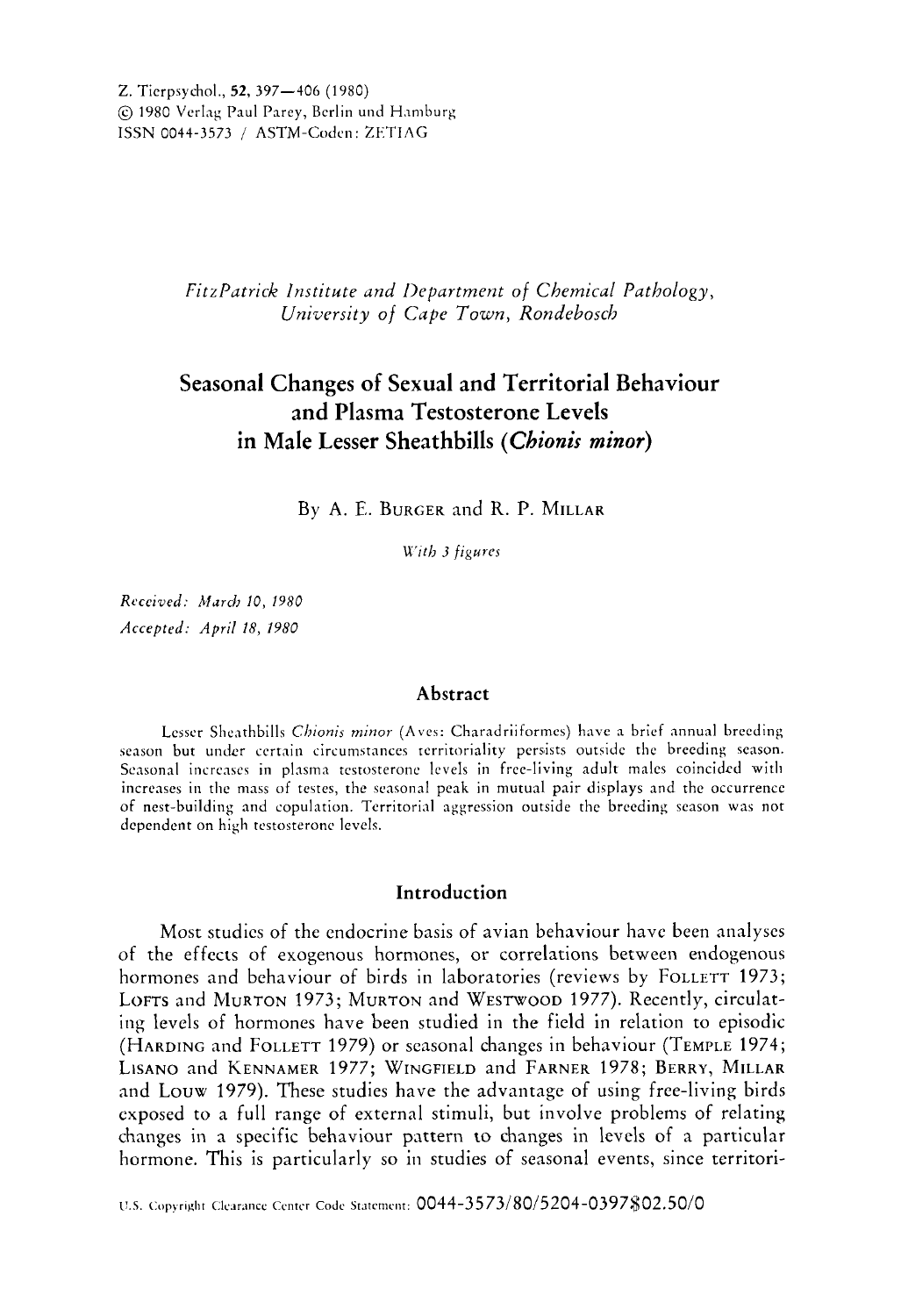*FitzPatrick Institute und llepurtment of Chemicul Pathology, University of Cupe Town, Rondebosch* 

# **Seasonal Changes of Sexual and Territorial Behaviour and Plasma Testosterone Levels in Male Lesser Sheathbills** *(Chionis minor)*

By **A.** E. BURGER and R. P. MILLAR

*K'tth 3 figures* 

*Rrceived: Mdrch 10, 1980 Accepted: April 18, 1980* 

### **Abstract**

Lesser Sheathbills *Chionis minor* (Aves: Charadriiformes) have a brief annual breeding season but under certain circumstances territoriality persists outside the breeding season. Seasonal increases in plasma testosterone levels in free-living adult males coincided with increases in the mass of testes, the seasonal peak in mutual pair displays and the occurrence of nest-building and copulation. Territorial aggression outside the breeding season **was** not dependent on high testosterone levels.

# **Introduction**

Most studies of the endocrine basis of avian behaviour have been analyses of the effects of exogenous hormones, or correlations between endogenous hormones and behaviour of birds in laboratories (reviews by FOLLETT 1973; LOFTS and MURTON 1973; MURTON and WESTWOOD 1977). Recently, circulating levels of hormones have been studied in the field in relation to episodic (HARDING andFOLLETT 1979) or seasonal changes in behaviour (TEMPLE 1974; LISANO and KENNAMER 1977; WINGFIELD and FARNER 1978; BERRY, MILLAR and Louw 1979). These studies have the advantage of using free-living birds exposed to a full range of external stimuli, but involve problems of relating changes in a specific behaviour pattern to changes in levels of a particular hormone. This is particularly so in studies of seasonal events, since territori-

U.S. Copyright Clearance Center Code Statement: 0044-3573/80/5204-0397\$02.50/0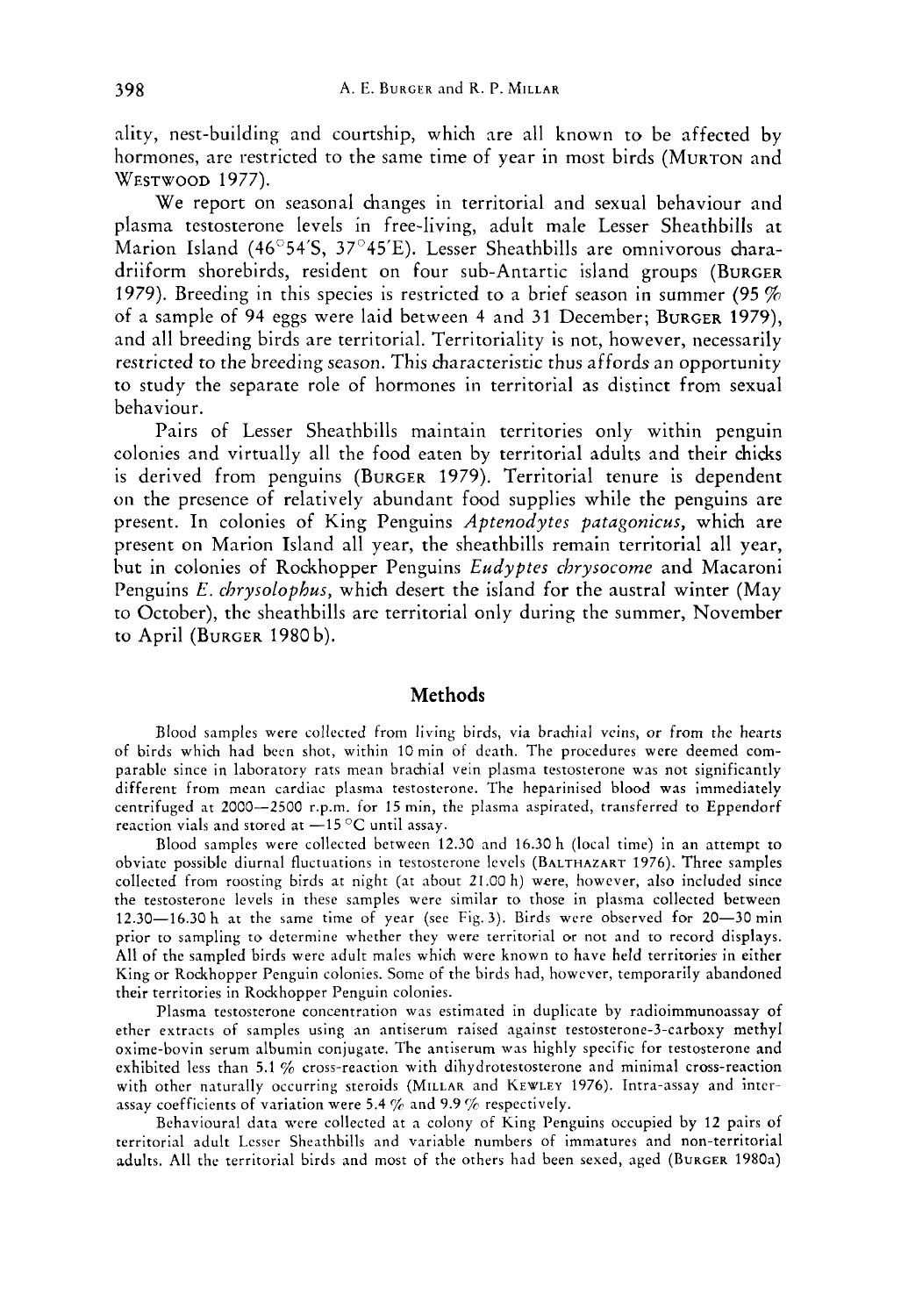nlity, nest-building and courtship, which nre all known to be affected by hormones, are restricted to the same time of year in most birds (MURTON and **WESTWOOD** 1977).

We report on seasonal changes in territorial and sexual behaviour and plasma testosterone levels in free-living, adult male Lesser Sheathbills at Marion Island (46 $\degree$ 54'S, 37 $\degree$ 45'E). Lesser Sheathbills are omnivorous charadriiform shorebirds, resident on four sub-Antartic island groups (BURGER 1979). Breeding in this species is restricted to a brief season in summer (95 % of a sample of 94 eggs were laid between 4 and 31 December; BURGER 1979), and all breeding birds are territorial. Territoriality is not, however, necessarily restricted to the breeding season. This characteristic thus affords an opportunity to study the separate role of hormones in territorial as distinct from sexual behaviour.

Pairs of Lesser Sheathbills maintain territories only within penguin colonies and virtually all the food eaten by territorial adults and their chicks is derived from penguins (BURGER 1979). Territorial tenure is dependent on the presence of relatively abundant food supplies while the penguins are present. In colonies of King Penguins *Aptenodytes patagonicus,* which are present on Marion Island all year, the sheathbills remain territorial all year, but in colonies of Rockhopper Penguins *Eudyptes chrysocome* and Macaroni Penguins *E. chrysolophus,* which desert the island for the austral winter (May to October), the sheathbills are territorial only during the summer, November to April (BURGER 1980b).

### **Methods**

Blood samples were collected from living birds, via brachial veins, or from the hearts of birds which had been shot, within 10min of death. The procedures were deemed comparable since in laboratory rats mean brachial vein plasma testosterone was not significantly different from mean cardiac plasma testosterone. The heparinised blood was immediately centrifuged at 2000-2500 r.p.m. for 15 min, the plasma aspirated, transferred to Eppendorf reaction vials and stored at -15 °C until assay.

Blood samples were collected between 12.30 and 16.30 h (local time) in an attempt to obviate possible diurnal fluctuations in testosterone levels (BALTHAZART 1976). Three samples collected from roosting birds at night (at about 21.00 h) were, however, also included since the testosterone levels in these samples were similar to those in plasma collected between 12.30-16.30 h at the same time of year (see Fig.3). Birds were observed for 20-30min prior to sampling to determine whether they were territorial or not and to record displays. **All** of the sampled birds were adult males which were known to have held territories in either King or Rockhopper Penguin colonies. Some of the birds had, however, temporarily abandoned their territories in Rockhopper Penguin colonies.

Plasma testosterone concentration was estimated in duplicate by radioimmunoassay of ether extracts of samples using an antiserum raised against testosterone-3-carboxy methyl oxime-bovin serum albumin conjugate. The antiserum was highly specific for testosterone and exhibited less than 5.1 % cross-reaction with dihydrotestosterone and minimal cross-reaction with other naturally occurring steroids (MILLAR and KEWLEY 1976). Intra-assay and interassay coefficients of variation were 5.4  $\%$  and 9.9  $\%$  respectively.

Behavioural data were collected at a colony of King Penguins occupied by **12** pairs of territorial adult Lesser Sheathbills and variable numbers of immatures and non-territorial adults. **All** the territorial birds and most of the others had been sexed, aged (BURGER 1980a)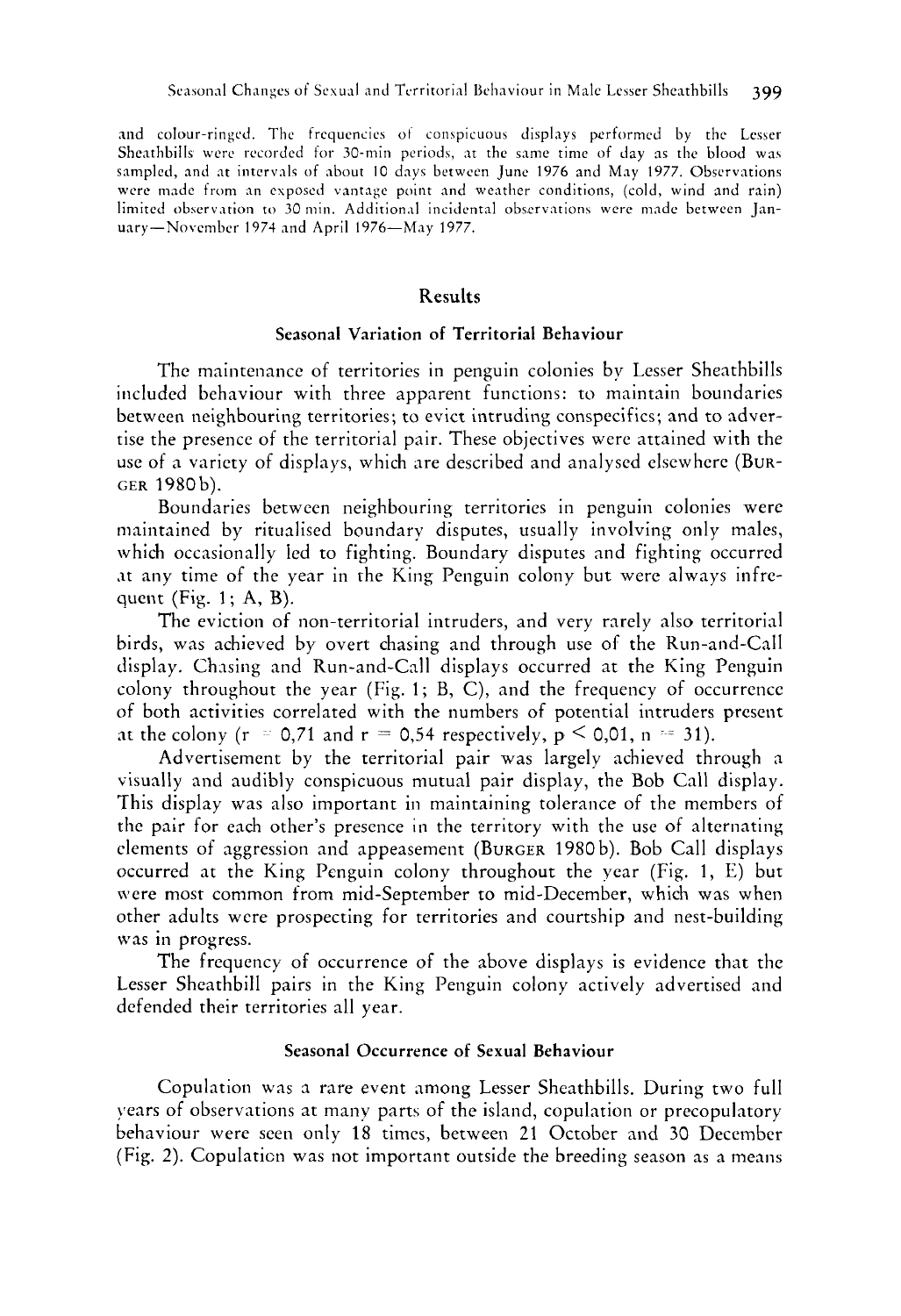and colour-ringed. The frequencies ot conspicuous displays performed by the Lesser Sheathbills were recorded for 30-min periods, at the same time of day as the blood was sampled, and at intervals of about 10 days between June 1976 and May 1977. Observations were made from an exposed vantage point and weather conditions, (cold, wind and rain) limited observation to 30 min. Additional incidental observations were made between January-November 1974 and April 1976-May 1977.

## **Results**

# Seasonal Variation of Territorial Behaviour

The maintenance of territories in penguin colonies by Lesser Sheathbills included behaviour with three apparent functiom: to maintain boundaries between neighbouring territories; to evict intruding conspecifics; and to advertise the presence of the territorial pair. These objectives were attained with the use of a variety of displays, which are described and analysed elsewhere (BUR-GER 1980b).

Boundaries between neighbouring territories in penguin colonies were maintained by ritualised boundary disputes, usually involving only males, which occasionally led to fighting. Boundary disputes and fighting occurred .it any time of the year in the King Penguin colony but were always infrequent (Fig. 1 ; **A,** B).

The eviction of non-territorial intruders, and very rarely also territorial birds, was achieved by overt chasing and through use of the Run-and-Call display. Chasing and Run-and-Call displays occurred at the King Penguin colony throughout the year (Fig. 1; B, C), and the frequency of occurrence of both activities correlated with the numbers of potential intruders present at the colony ( $r = 0.71$  and  $r = 0.54$  respectively,  $p \le 0.01$ ,  $n = 31$ ).

Advertisement by the territorial pair was largely achieved through a visually and audibly conspicuous mutual pair display, the Bob Call display. This display was also important in maintaining tolerance of the members of the pair for each other's presence **in** the territory with the use of alternating elements of aggression and appeasement (BURGER 1980 b). Bob Call displays occurred at the King Penguin colony throughout the year (Fig. 1, E) but were most common from mid-September to mid-December, which was when other adults were prospecting for territories and courtship and nest-building was **in** progress.

The frequency of occurrence of the above displays is evidence that the Lesser Sheathbill pairs in the King Penguin colony actively advertised and defended their territories all year.

# Seasonal Occurrence **of** Sexual Behaviour

Copulation was a rare event among Lesser Sheathbills. During two full years of observations at many parts of the island, copulation or precopulatory behaviour were seen only 18 times, between 21 October and 30 December (Fig. *2).* Copulaticn was not important outside the breeding season as a means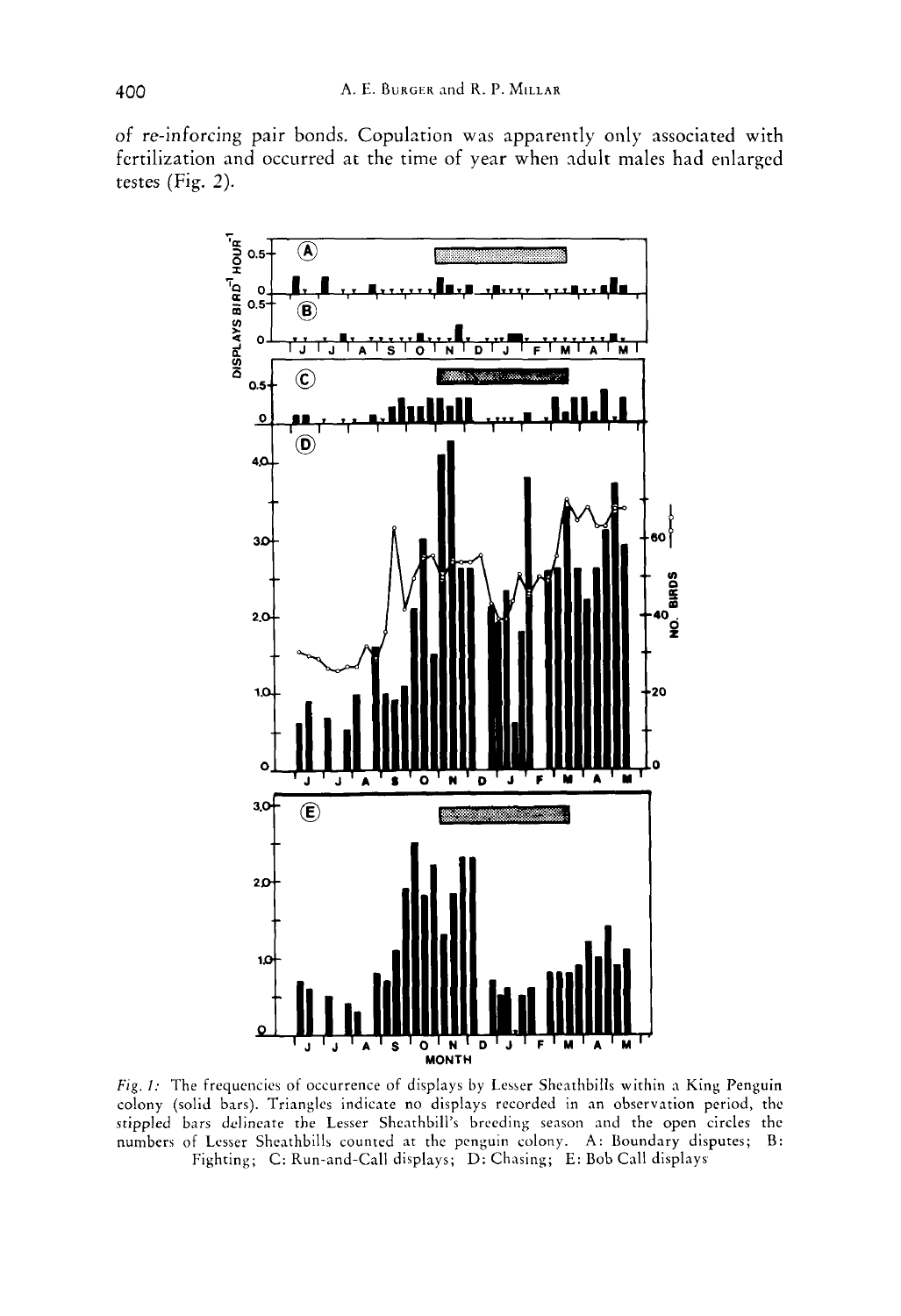of re-inforcing pair bonds. Copulation was apparently only associated with fcrtilization and occurred at the time of year when adult males had enlarged testes (Fig. *2).* 



*Fig. 1:* The frequencies of occurrence of displays by Lesser Sheathbills within a King Penguin colony (solid bars). Triangles indicate no displays recorded in an observation period, the stippled bars delineate the Lesser Sheathbill's breeding season and the open circles the numbers of Lesser Sheathbills counted at the penguin colony. **A:** Boundary disputes; B: Fighting; C: Run-and-Call displays; D: Chasing; E: Bob Call displays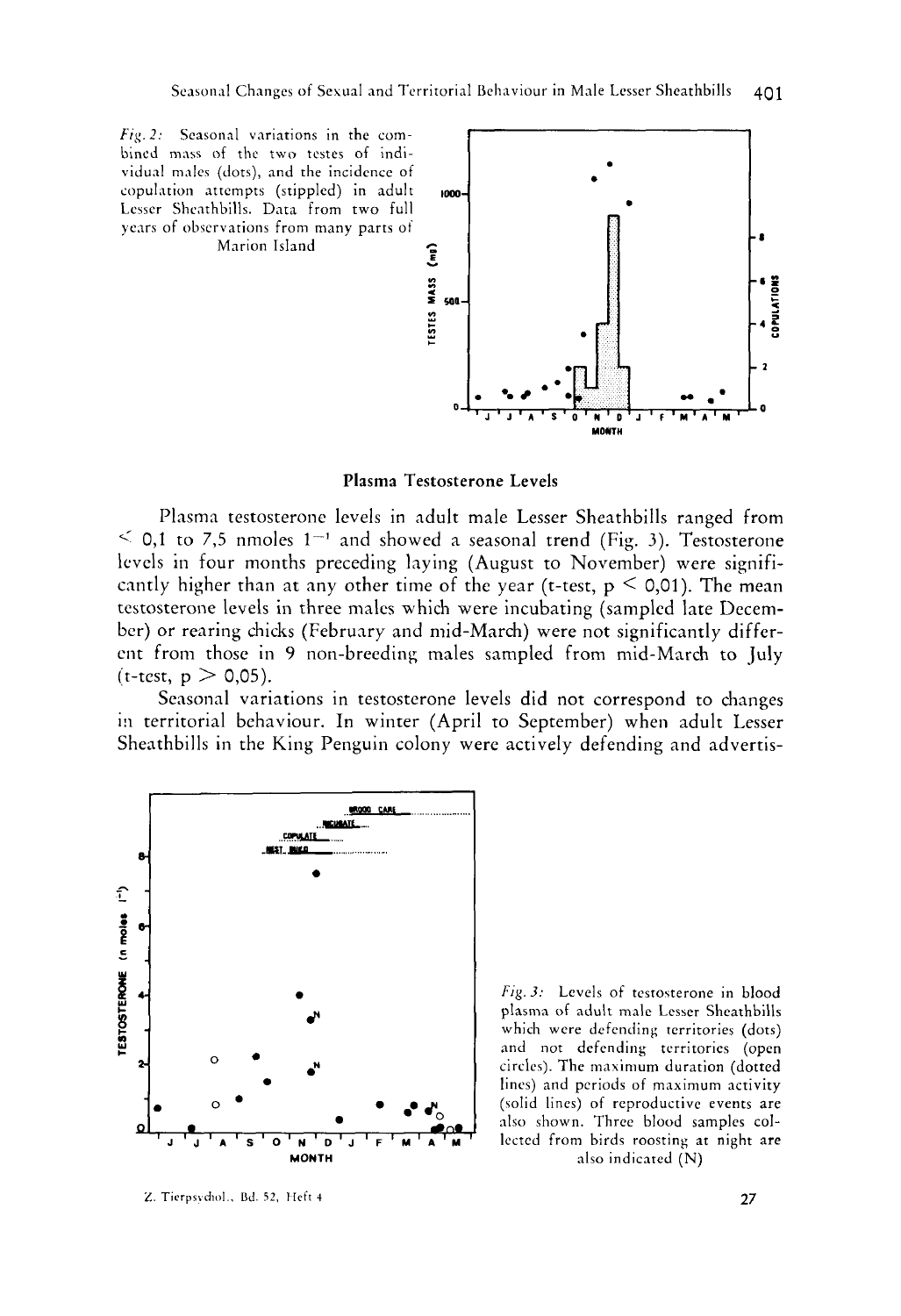

**Plasma Testosterone Levels** 

Plasma testosterone levels in adult male Lesser Sheathbills ranged from  $\leq$  0,1 to 7,5 nmoles 1<sup>-1</sup> and showed a seasonal trend (Fig. 3). Testosterone levels in four months preceding laying (August to November) were significantly higher than at any other time of the year (t-test,  $p \le 0.01$ ). The mean testosterone levels in three males which were incubating (sampled late December) or rearing chicks (February and mid-March) were not significantly different from those in *9* non-breeding males sampled from mid-March to July  $(t-test, p > 0,05)$ .

Seasonal variations in testosterone levels did not correspond to changes in territorial behaviour. In winter (April to September) when adult Lesser Sheathbills in the King Penguin colony were actively defending and advertis-



Z. Tierpsvchol., Bd. 52, Heft 4

Fig. 3: Levels of testosterone in blood plasma of adult male Lesser Sheathbills which were dcfending territories (dots) and not defending territories (open circles). The maximum duration (dotted lines) and periods of maximum activity (solid lines) of reproductive events **are**  also shown. Three blood samples collected from birds roosting at night **are**  also indicated (N)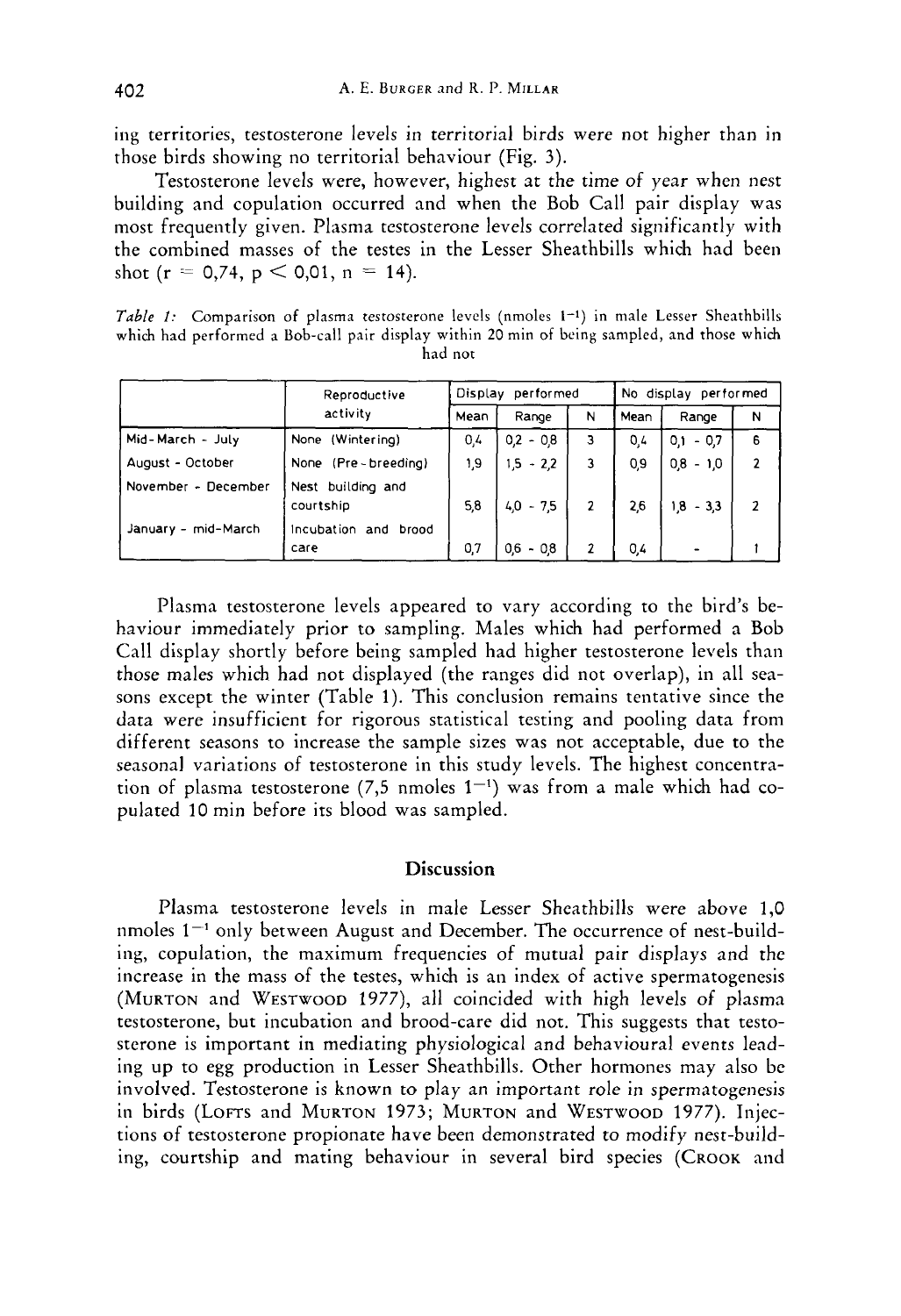ing territories, testosterone levels in territorial birds were not higher than in those birds showing no territorial behaviour (Fig. 3).

Testosterone levels were, however, highest at the time of year when nest building and copulation occurred and when the Bob Call pair display was most frequently given. Plasma testosterone levels correlated significantly with the combined masses of the testes in the Lesser Sheathbills which had been shot (r = 0.74,  $p < 0.01$ ,  $n = 14$ ).

*Table* I: Comparison of plasma testosterone levels (nmoles **1-1)** in male Lesser Sheathbills which had performed a Bob-call pair display within **20** min of being sampled, and those which had not

|                                            | Reproductive<br>activity                               | performed<br>Display |             |   | No display performed |             |                |
|--------------------------------------------|--------------------------------------------------------|----------------------|-------------|---|----------------------|-------------|----------------|
|                                            |                                                        | Mean                 | Range       | N | Mean                 | Range       | N              |
| Mid-March - July                           | None (Wintering)                                       | 0,4                  | $0.2 - 0.8$ | 3 | 0.4                  | $0.1 - 0.7$ | 6              |
| August - October                           | None (Pre-breeding)                                    | ۱,9                  | $1,5 - 2,2$ | 3 | 0,9                  | $0,8 - 1,0$ | $\overline{2}$ |
| November - December<br>January - mid-March | Nest building and<br>courtship<br>Incubation and brood | 5,8                  | $40 - 75$   | 2 | 2,6                  | $1,8 - 3,3$ | 2              |
|                                            | care                                                   | 0.7                  | $0.6 - 0.8$ |   | 0,4                  |             |                |

Plasma testosterone levels appeared to vary according to the bird's behaviour immediately prior to sampling. Males which had performed a Bob Call display shortly before being sampled had higher testosterone levels than those males which had not displayed (the ranges did not overlap), in all seasons except the winter (Table 1). This conclusion remains tentative since the data were insufficient for rigorous statistical testing and pooling data from different seasons to increase the sample sizes was not acceptable, due to the seasonal variations of testosterone in this study levels. The highest concentration of plasma testosterone (7,5 nmoles  $1^{-1}$ ) was from a male which had copulated 10 min before its blood was sampled.

# **Discussion**

Plasma testosterone levels in male Lesser Sheathbills were above 1,0 nmoles  $1<sup>-1</sup>$  only between August and December. The occurrence of nest-building, copulation, the maximum frequencies of mutual pair displays and the increase in the mass of the testes, which is an index of active spermatogenesis (MURTON and WESTWOOD 1977), all coincided with high levels of plasma testosterone, but incubation and brood-care did not. This suggests that testosterone is important in mediating physiological and behavioural events leading up to egg production in Lesser Sheathbills. Other hormones may also be involved. Testosterone is known to play an important role in spermatogenesis in birds (LOFTS and MURTON 1973; MURTON and WESTWOOD 1977). Injections of testosterone propionate have been demonstrated to modify nest-building, courtship and mating behaviour in several bird species (CROOK and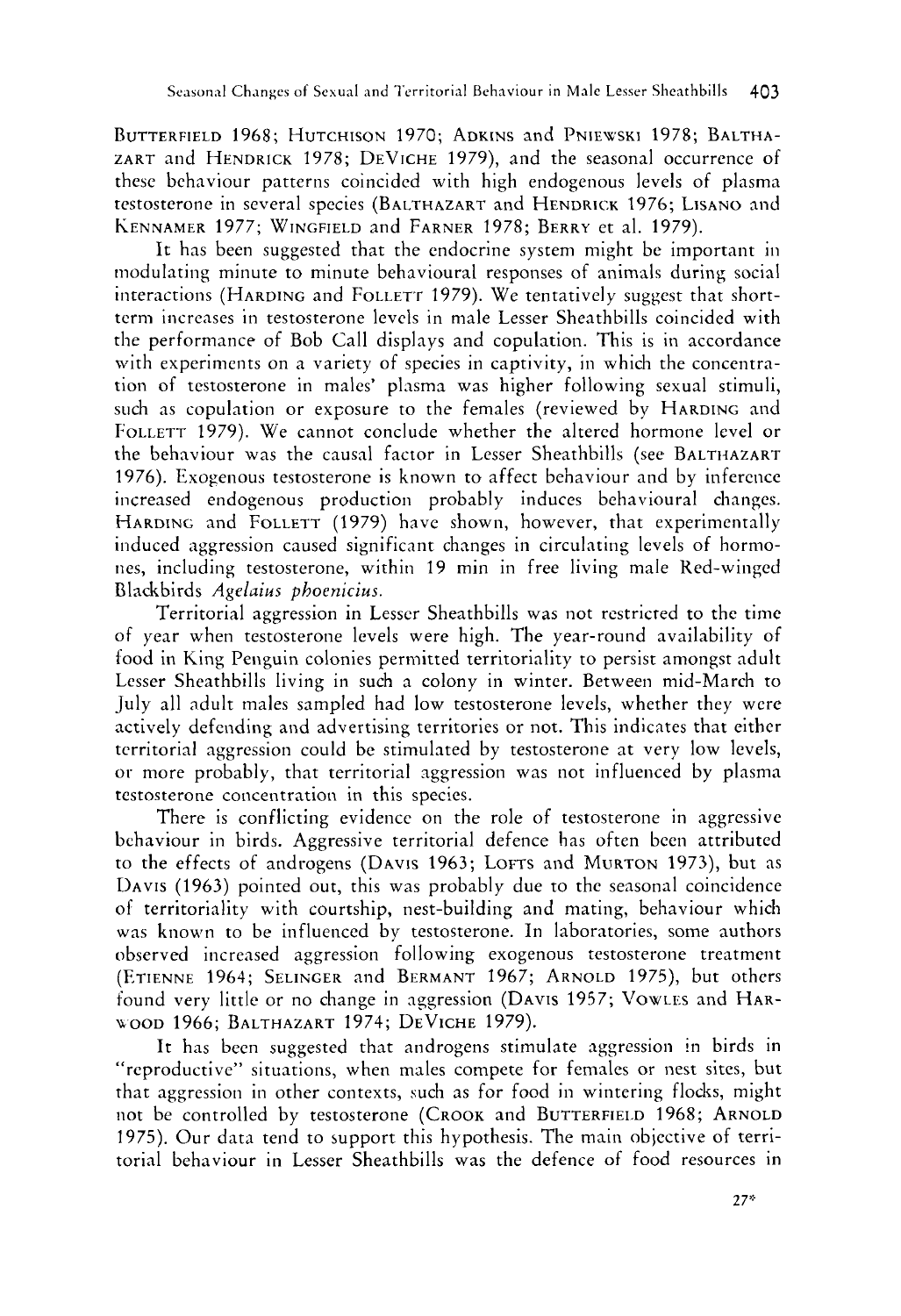BUTTERFIELD 1968; HUTCHISON 1970; ADKINS and PNIEWSKI 1978; BALTHA-ZART and HENDRICK 1978; DEVICHE 1979), and the seasonal occurrence of these behaviour patterns Coincided with high endogenous levels of plasma testosterone in several species (BALTHAZART and HENDRICK 1976; LISANO and KENNAMER 1977; WINGFIELD and FARNER 1978; BERRY et al. 1979).

It has been suggested that the endocrine system might be important in modulating minute to minute behavioural responses of animals during social interactions (HARDING and FOLLETT 1979). We tentatively suggest that shorttcrni increases in testosterone levels in male Lesser Sheathbills coincided with the performance of Bob Call displays and copulation. This is in accordance with experiments on a variety of species in captivity, in which the concentration of testosterone in males' plasma was higher following sexual stimuli, such as copulation or exposure to the females (reviewed by HARDING and FOLLETT 1979). We cannot conclude whether the altered hormone level or the behaviour was the causal factor in Lesser Sheathbills (see BALTHAZART 1976). Exogenous testosterone is known to affect behaviour and by inference increased endogenous production probably induces behavioural changes. HARDING and FOLLETT (1979) have shown, however, that experimentally induced aggression caused significant changes in circulating levels of hormones, including testosterone, within 19 min in free living male Red-winged Blackbirds *Agelaius phoenicius.* 

Territorial aggression in Lesser Sheathbills was not restricred to the time of year when testosterone levels were high. The year-round availability of food in King Penguin colonies permitted territoriality to persist amongst adult Lesser Sheathbills living in such a colony in winter. Between mid-March to July all adult males sampled had low testosterone levels, whether they were actively defending and advertising territories or not. This indicates that either territorial aggression could be stimulated by testosterone at very low levels, or more probably, that territorial aggression was not influenced by plasma testosterone concentration in this species.

There is conflicting evidence on the role of testosterone in aggressive bchaviour in birds. Aggressive territorial defence has often been attributed to the effects of androgens (DAVIS 1963; LOFTS and MURTON 1973), but as DAVIS (1963) pointed out, this was probably due to the seasonal coincidence of territoriality with courtship, nest-building and mating, behaviour which was known to be influenced by testosterone. In laboratories, some authors observed increased aggression following exogenous testosterone treatment (ETIENNE 1964; SELINGER and BERMANT 1967; ARNOLD 1975), but others found very little or no change in aggression (DAVIS 1957; VOWLES and HAR-WOOD 1966; BALTHAZART 1974; DEVICHE 1979).

It has been suggested that androgens stimulate aggression in birds in "reproductive" situations, when males compete for females or nest sites, but that aggression in other contexts, such as for food in wintering flocks, might not be controlled by testosterone (CROOK and BUTTERFIELD 1968; ARNOLD 1975). Our data tend to support this hypothesis. The main objective of territorial behaviour in Lesser Sheathbills was the defence of food resources in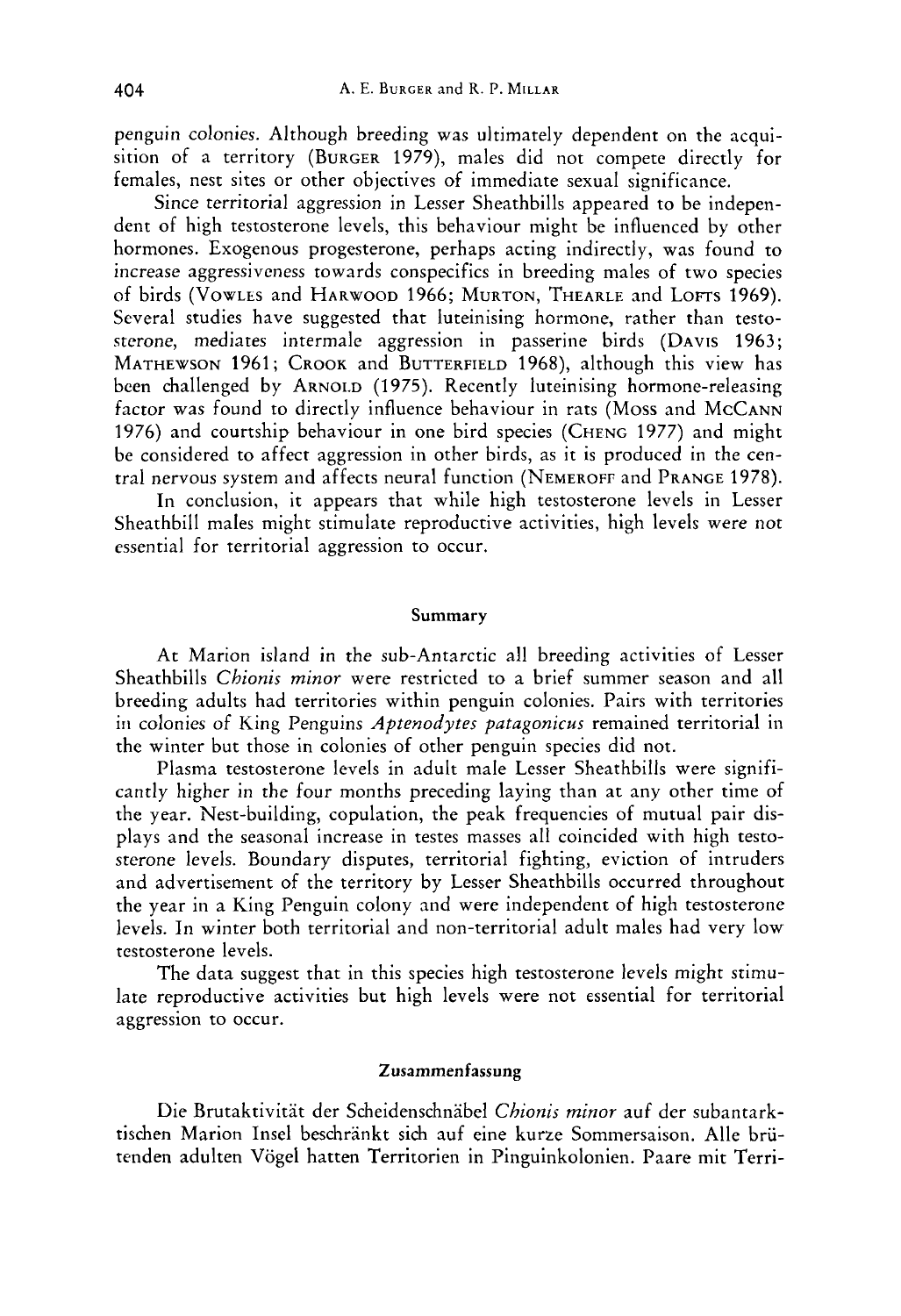penguin colonies. Although breeding was ultimately dependent on the acquisition of a territory (BURGER 1979), males did not compete directly for females, nest sites or other objectives of immediate sexual significance.

Since territorial aggression in Lesser Sheathbills appeared to be independent of high testosterone levels, this behaviour might be influenced by other hormones. Exogenous progesterone, perhaps acting indirectly, was found to increase aggressiveness towards conspecifics in breeding males of two species of birds (VOWLES and HARWOOD 1966; MURTON, THEARLE and LOFTS 1969). Several studies have suggested that luteinising hormone, rather than testosterone, mediates intermale aggression in passerine birds (DAVIS 1963; MATHEWSON 1961; CROOK and BUTTERFIELD 1968), although this view has been challenged by ARNOLD (1975). Recently luteinising hormone-releasing factor was found to directly influence behaviour in rats (Moss and McCANN 1976) and courtship behaviour in one bird species (CHENG 1977) and might be considered to affect aggression in other birds, as it is produced in the central nervous system and affects neural function (NEMEROFF and PRANGE 1978).

In conclusion, it appears that while high testosterone levels in Lesser Sheathbill males might stimulate reproductive activities, high levels were not essential for territorial aggression to occur.

#### **Summary**

**At** Marion island in the sub-Antarctic all breeding activities of Lesser Sheathbills *Chionis minor* were restricted to a brief summer season and all breeding adults had territories within penguin colonies. Pairs with territories iri colonies of King Penguins *Aptenodytes patagonicus* remained territorial in the winter but those in colonies of other penguin species did not.

Plasma testosterone levels in adult male Lesser Sheathbills were significantly higher in the four months preceding laying than at any other time of the year. Nest-building, copulation, the peak frequencies of mutual pair displays and the seasonal increase in testes masses all coincided with high testosterone levels. Boundary disputes, territorial fighting, eviction of intruders and advertisement of the territory by Lesser Sheathbills occurred throughout the year in a King Penguin colony and were independent of high testosterone levels. In winter both territorial and non-territorial adult males had very low testosterone levels.

The data suggest that in this species high testosterone levels might stimulate reproductive activities but high levels were not essential for territorial aggression to occur.

### **Zusammenfassung**

Die Brutaktivitat der Scheidenschnabel *Chionis minor* auf der subantarktischen Marion Insel beschränkt sich auf eine kurze Sommersaison. Alle brütenden adulten Vogel hatten Territorien in Pinguinkolonien. Paare mit Terri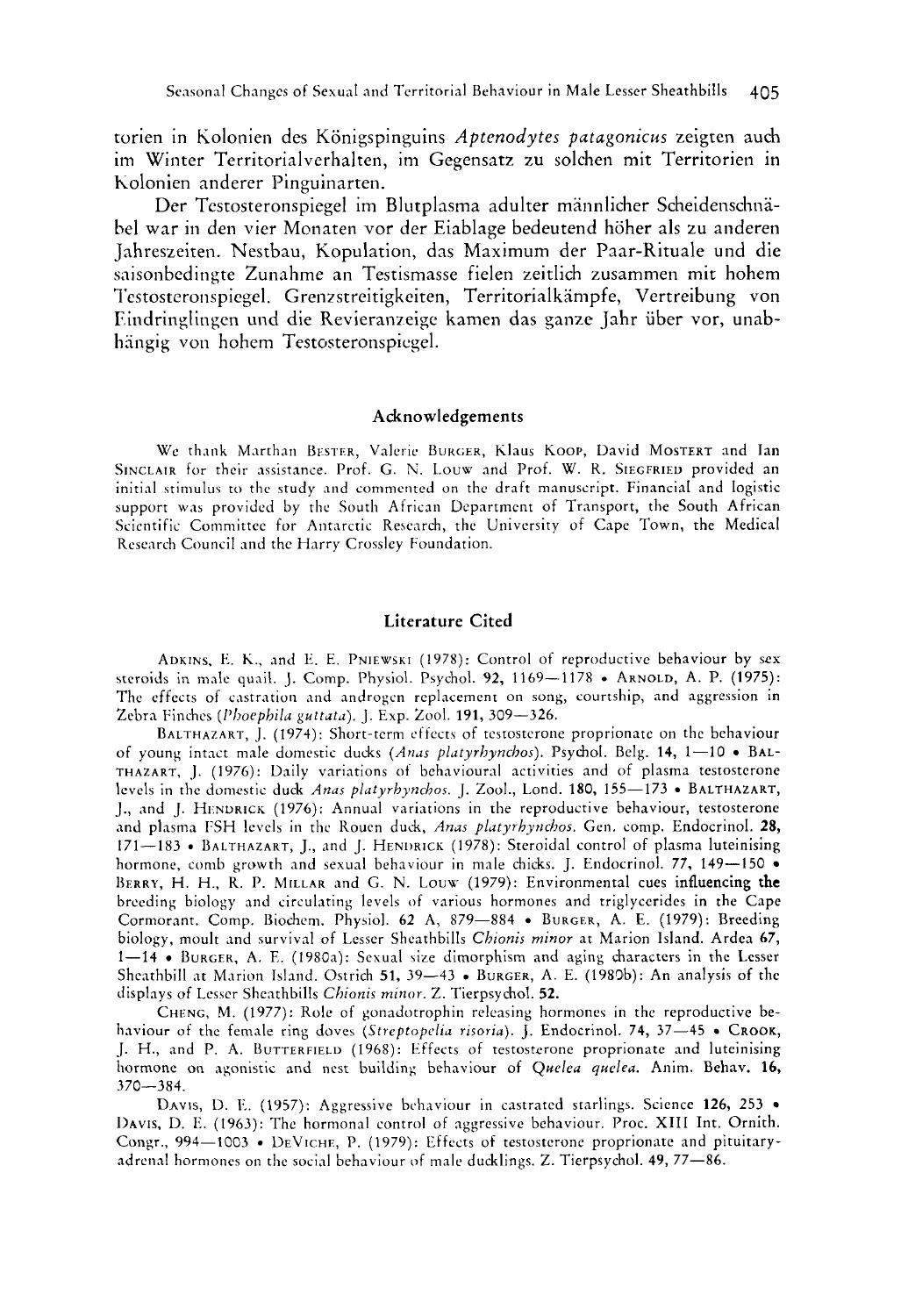torien in Kolonien des Konigspinguins *Aptenodytes putagonicus* zeigten auch im Winter Territorialverhalten, im Gcgensatz zu solchen mit Territorien in holonien anderer Pinguinarten.

Der Testosteronspiegel im Blutplasma adulter männlicher Scheidenschnäbel war in den vier Monaten vor der Eiablage bedeutend höher als zu anderen Jahreszeiten. Nestbau, Kopulation, das Maximum der Paar-Rituale und die saisonbedingte Zunahme an Testismasse fielen zeitlich zusammen mit hohem Testosteronspiegel. Grenzstreitigkeiten, Territorialkämpfe, Vertreibung von Findringlingen und die Revieranzeige kamen das ganze Jahr über vor, unabhängig von hohem Testosteronspiegel.

#### **Acknowledgements**

We thank Marthan BESTER, Valerie BURGER, Klaus KOOP, David MOSTERT and Ian SINCLAIR for their assistance. Prof. G. N. Louw and Prof. W. R. SIEGFRIED provided an initial stimulus to the study and commented on the draft manuscript. Financial and logistic support was provided by the South African Department of Transport, the South African Scientific Committee for Antarctic Research, the University of Cape Town, the Medical Research Council and the Harry Crossley Foundation.

#### **Literature Cited**

ADKINS. **Ii.** K., .ind **1:.** E. **PNIEWSKI** (1978): Control of reproductive behaviour by **sex**  steroids in male quail. J. Comp. I'hysiol. Psychol. **92,** 1169-1178 . ARNOLD, A. **P.** (1975): The effects of castration and androgen replacement on song, courtship, and aggression in Zebra Finches *(Plioephilu guttuta).* J. Exp. Zool. **191,** 309-326.

BALTHAZART, J. (1974): Short-term cffects of testosterone proprionatc on the behaviour of young intact male domestic ducks *(Anus plutyrhynchos).* Psychol. Belg. **14,** 1-10 BAL-THAZART, J. (1976): Daily variations of behavioural activities and of plasma testostcrone levels in the domestic duck *Anas platyrhynchos.* J. Zool., Lond. **180**, 155-173 • BALTHAZART, J., and J. HENDRICK (1976): Annual variations in the reproductive behaviour, testosterone 1, And plasma FSH levels in the Rouen duck, *Anas platyrhynchos*. Gen. comp. Endocrinol. **28, 171–183** . BALTHAZART, J., and J. HENDRICK (1978): Steroidal control of plasma luteinising hormone, comb growth and sexual behaviour in male chicks. J. Endocrinol. **77,** 149-150 BERRY, H. H., R. P. MILLAR and G. N. Louw (1979): Environmental cues influencing the breeding biology and circulating levels of various hormones and triglycerides in the Cape Cormorant. Comp. Biochem. Physiol. **62 A,** 879-884 BURGER, **A.** E. (1979): Breeding biology, moult and survival of Lesser Sheathbills *Chionis minor* at Marion Island. Ardea 67, 1-14 • BURGER, A. E. (1980a): Sexual size dimorphism and aging characters in the Lesser Sheathbill at Marion Island. Ostrich **51,** 39-43 • BURGER, A. E. (1980b): An analysis of the displays of Lesser Sheathbills *Chionis minor*. Z. Tierpsychol. **52.** 

CHENG, M. (1977): Role of gonadotrophin releasing hormones in the reproductive behaviour of the female ring doves *(Streptopelia risoria)*. **J.** Endocrinol. **74, 37–45** • CROOK, J. H., and P. **A.** BUTTERFIELD (1968): Effects of testosterone proprionate and luteinising hormone on xgonistic and nest building behaviour of *Qtreleu qtrelt-a.* Anim. Behav. **16,**  370-384.

**DAVIS,** D. F,. (1957): Aggressive behaviour in castrated starlings. Science **126,** 253 DAVIS, D. E. (1963): The hormonal control of aggressive behaviour. Proc. XIII Int. Ornith. Congr., 994-1003 • DEVICHE, P. (1979): Effects of testosterone proprionate and pituitaryadrenal horniones on the social behaviour of male ducklings. Z. Tierpsychol. **49,** 77-86.